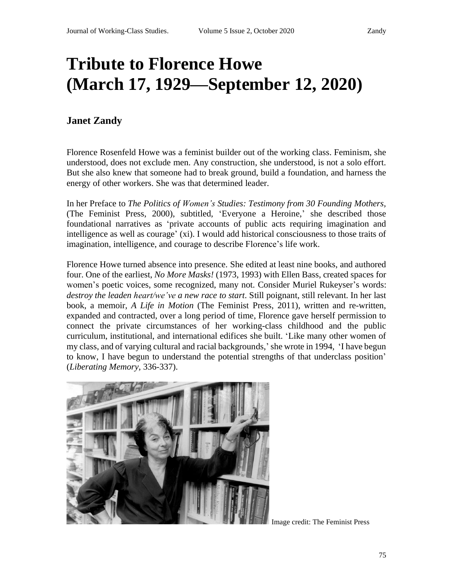# **Tribute to Florence Howe (March 17, 1929—September 12, 2020)**

# **Janet Zandy**

Florence Rosenfeld Howe was a feminist builder out of the working class. Feminism, she understood, does not exclude men. Any construction, she understood, is not a solo effort. But she also knew that someone had to break ground, build a foundation, and harness the energy of other workers. She was that determined leader.

In her Preface to *The Politics of Women's Studies: Testimony from 30 Founding Mothers,* (The Feminist Press, 2000), subtitled, 'Everyone a Heroine,' she described those foundational narratives as 'private accounts of public acts requiring imagination and intelligence as well as courage' (xi). I would add historical consciousness to those traits of imagination, intelligence, and courage to describe Florence's life work.

Florence Howe turned absence into presence. She edited at least nine books, and authored four. One of the earliest, *No More Masks!* (1973, 1993) with Ellen Bass, created spaces for women's poetic voices, some recognized, many not. Consider Muriel Rukeyser's words: *destroy the leaden heart/we've a new race to start*. Still poignant, still relevant. In her last book, a memoir, *A Life in Motion* (The Feminist Press, 2011), written and re-written, expanded and contracted, over a long period of time, Florence gave herself permission to connect the private circumstances of her working-class childhood and the public curriculum, institutional, and international edifices she built. 'Like many other women of my class, and of varying cultural and racial backgrounds,'she wrote in 1994, 'I have begun to know, I have begun to understand the potential strengths of that underclass position' (*Liberating Memory,* 336-337).



Image credit: The Feminist Press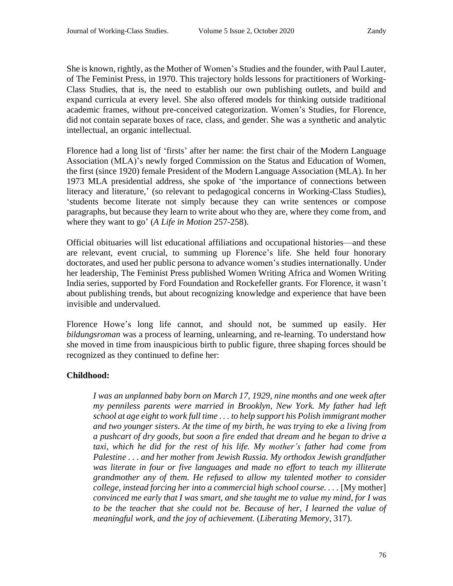She is known, rightly, as the Mother of Women's Studies and the founder, with Paul Lauter, of The Feminist Press, in 1970. This trajectory holds lessons for practitioners of Working-Class Studies, that is, the need to establish our own publishing outlets, and build and expand curricula at every level. She also offered models for thinking outside traditional academic frames, without pre-conceived categorization. Women's Studies, for Florence, did not contain separate boxes of race, class, and gender. She was a synthetic and analytic intellectual, an organic intellectual.

Florence had a long list of 'firsts' after her name: the first chair of the Modern Language Association (MLA)'s newly forged Commission on the Status and Education of Women, the first (since 1920) female President of the Modern Language Association (MLA). In her 1973 MLA presidential address, she spoke of 'the importance of connections between literacy and literature,' (so relevant to pedagogical concerns in Working-Class Studies), 'students become literate not simply because they can write sentences or compose paragraphs, but because they learn to write about who they are, where they come from, and where they want to go' (*A Life in Motion* 257-258).

Official obituaries will list educational affiliations and occupational histories—and these are relevant, event crucial, to summing up Florence's life. She held four honorary doctorates, and used her public persona to advance women's studies internationally. Under her leadership, The Feminist Press published Women Writing Africa and Women Writing India series, supported by Ford Foundation and Rockefeller grants. For Florence, it wasn't about publishing trends, but about recognizing knowledge and experience that have been invisible and undervalued.

Florence Howe's long life cannot, and should not, be summed up easily. Her *bildungsroman* was a process of learning, unlearning, and re-learning. To understand how she moved in time from inauspicious birth to public figure, three shaping forces should be recognized as they continued to define her:

# **Childhood:**

*I was an unplanned baby born on March 17, 1929, nine months and one week after my penniless parents were married in Brooklyn, New York. My father had left school at age eight to work full time . . . to help support his Polish immigrant mother and two younger sisters. At the time of my birth, he was trying to eke a living from a pushcart of dry goods, but soon a fire ended that dream and he began to drive a taxi, which he did for the rest of his life. My mother's father had come from Palestine . . . and her mother from Jewish Russia. My orthodox Jewish grandfather was literate in four or five languages and made no effort to teach my illiterate grandmother any of them. He refused to allow my talented mother to consider college, instead forcing her into a commercial high school course. . . .* [My mother] *convinced me early that I was smart, and she taught me to value my mind, for I was to be the teacher that she could not be. Because of her, I learned the value of meaningful work, and the joy of achievement.* (*Liberating Memory*, 317).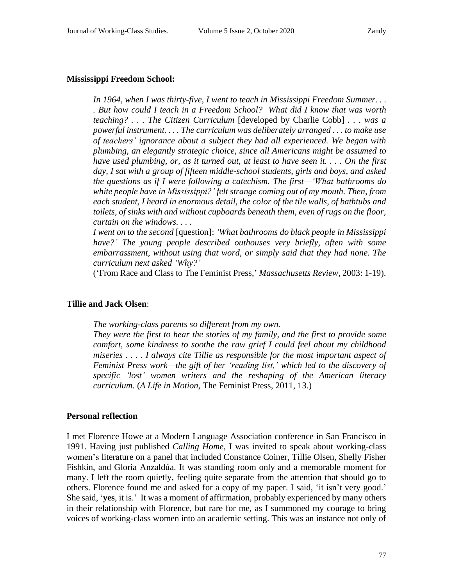### **Mississippi Freedom School:**

*In 1964, when I was thirty-five, I went to teach in Mississippi Freedom Summer. . . . But how could I teach in a Freedom School? What did I know that was worth teaching? . . . The Citizen Curriculum* [developed by Charlie Cobb] *. . . was a powerful instrument. . . . The curriculum was deliberately arranged . . . to make use of teachers' ignorance about a subject they had all experienced. We began with plumbing, an elegantly strategic choice, since all Americans might be assumed to* have used plumbing, or, as it turned out, at least to have seen it.  $\ldots$  On the first *day, I sat with a group of fifteen middle-school students, girls and boys, and asked the questions as if I were following a catechism. The first—'What bathrooms do white people have in Mississippi?' felt strange coming out of my mouth. Then, from each student, I heard in enormous detail, the color of the tile walls, of bathtubs and toilets, of sinks with and without cupboards beneath them, even of rugs on the floor, curtain on the windows. . . .*

*I went on to the second* [question]: *'What bathrooms do black people in Mississippi have?' The young people described outhouses very briefly, often with some embarrassment, without using that word, or simply said that they had none. The curriculum next asked 'Why?'*

('From Race and Class to The Feminist Press,' *Massachusetts Review,* 2003: 1-19).

#### **Tillie and Jack Olsen**:

*The working-class parents so different from my own.*

*They were the first to hear the stories of my family, and the first to provide some comfort, some kindness to soothe the raw grief I could feel about my childhood miseries . . . . I always cite Tillie as responsible for the most important aspect of Feminist Press work—the gift of her 'reading list,' which led to the discovery of specific 'lost' women writers and the reshaping of the American literary curriculum.* (*A Life in Motion,* The Feminist Press, 2011, 13*.*)

#### **Personal reflection**

I met Florence Howe at a Modern Language Association conference in San Francisco in 1991. Having just published *Calling Home,* I was invited to speak about working-class women's literature on a panel that included Constance Coiner, Tillie Olsen, Shelly Fisher Fishkin, and Gloria Anzaldúa. It was standing room only and a memorable moment for many. I left the room quietly, feeling quite separate from the attention that should go to others. Florence found me and asked for a copy of my paper. I said, 'it isn't very good.' She said, '**yes**, it is.' It was a moment of affirmation, probably experienced by many others in their relationship with Florence, but rare for me, as I summoned my courage to bring voices of working-class women into an academic setting. This was an instance not only of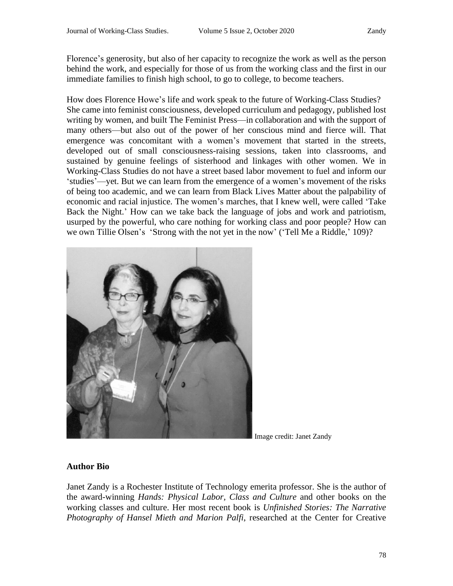Florence's generosity, but also of her capacity to recognize the work as well as the person behind the work, and especially for those of us from the working class and the first in our immediate families to finish high school, to go to college, to become teachers.

How does Florence Howe's life and work speak to the future of Working-Class Studies? She came into feminist consciousness, developed curriculum and pedagogy, published lost writing by women, and built The Feminist Press—in collaboration and with the support of many others—but also out of the power of her conscious mind and fierce will. That emergence was concomitant with a women's movement that started in the streets, developed out of small consciousness-raising sessions, taken into classrooms, and sustained by genuine feelings of sisterhood and linkages with other women. We in Working-Class Studies do not have a street based labor movement to fuel and inform our 'studies'—yet. But we can learn from the emergence of a women's movement of the risks of being too academic, and we can learn from Black Lives Matter about the palpability of economic and racial injustice. The women's marches, that I knew well, were called 'Take Back the Night.' How can we take back the language of jobs and work and patriotism, usurped by the powerful, who care nothing for working class and poor people? How can we own Tillie Olsen's 'Strong with the not yet in the now' ('Tell Me a Riddle,' 109)?



Image credit: Janet Zandy

# **Author Bio**

Janet Zandy is a Rochester Institute of Technology emerita professor. She is the author of the award-winning *Hands: Physical Labor, Class and Culture* and other books on the working classes and culture. Her most recent book is *Unfinished Stories: The Narrative Photography of Hansel Mieth and Marion Palfi*, researched at the Center for Creative